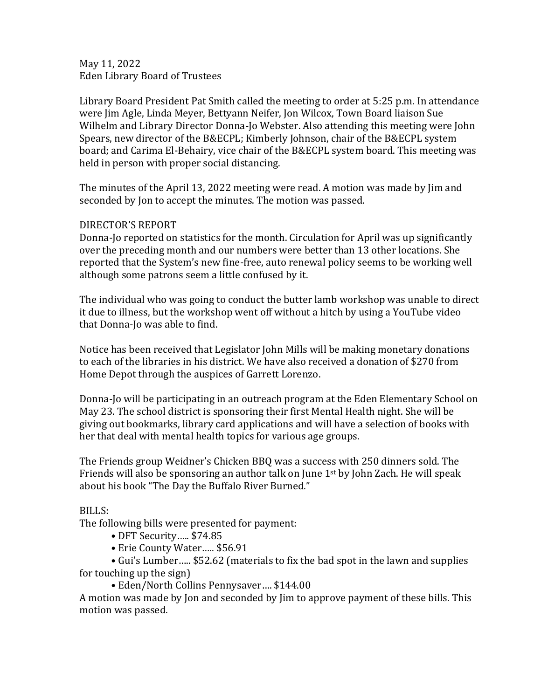May 11, 2022 Eden Library Board of Trustees

Library Board President Pat Smith called the meeting to order at 5:25 p.m. In attendance were Jim Agle, Linda Meyer, Bettyann Neifer, Jon Wilcox, Town Board liaison Sue Wilhelm and Library Director Donna-Jo Webster. Also attending this meeting were John Spears, new director of the B&ECPL; Kimberly Johnson, chair of the B&ECPL system board; and Carima El-Behairy, vice chair of the B&ECPL system board. This meeting was held in person with proper social distancing.

The minutes of the April 13, 2022 meeting were read. A motion was made by Jim and seconded by Jon to accept the minutes. The motion was passed.

## DIRECTOR'S REPORT

Donna-Jo reported on statistics for the month. Circulation for April was up significantly over the preceding month and our numbers were better than 13 other locations. She reported that the System's new fine-free, auto renewal policy seems to be working well although some patrons seem a little confused by it.

The individual who was going to conduct the butter lamb workshop was unable to direct it due to illness, but the workshop went off without a hitch by using a YouTube video that Donna-Jo was able to find.

Notice has been received that Legislator John Mills will be making monetary donations to each of the libraries in his district. We have also received a donation of \$270 from Home Depot through the auspices of Garrett Lorenzo.

Donna-Jo will be participating in an outreach program at the Eden Elementary School on May 23. The school district is sponsoring their first Mental Health night. She will be giving out bookmarks, library card applications and will have a selection of books with her that deal with mental health topics for various age groups.

The Friends group Weidner's Chicken BBQ was a success with 250 dinners sold. The Friends will also be sponsoring an author talk on June 1st by John Zach. He will speak about his book "The Day the Buffalo River Burned."

## BILLS:

The following bills were presented for payment:

- DFT Security….. \$74.85
- Erie County Water….. \$56.91

• Gui's Lumber….. \$52.62 (materials to fix the bad spot in the lawn and supplies for touching up the sign)

• Eden/North Collins Pennysaver…. \$144.00

A motion was made by Jon and seconded by Jim to approve payment of these bills. This motion was passed.